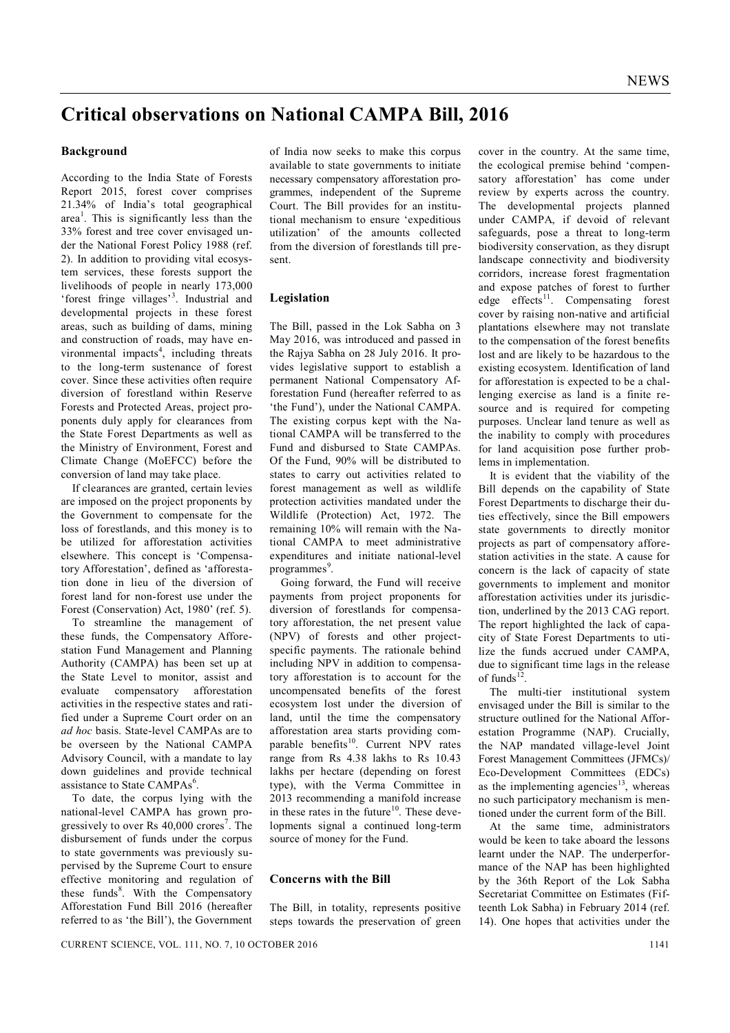# **Critical observations on National CAMPA Bill, 2016**

### **Background**

According to the India State of Forests Report 2015, forest cover comprises 21.34% of India's total geographical area<sup>1</sup>. This is significantly less than the 33% forest and tree cover envisaged under the National Forest Policy 1988 (ref. 2). In addition to providing vital ecosystem services, these forests support the livelihoods of people in nearly 173,000 'forest fringe villages'<sup>3</sup>. Industrial and developmental projects in these forest areas, such as building of dams, mining and construction of roads, may have environmental impacts<sup>4</sup>, including threats to the long-term sustenance of forest cover. Since these activities often require diversion of forestland within Reserve Forests and Protected Areas, project proponents duly apply for clearances from the State Forest Departments as well as the Ministry of Environment, Forest and Climate Change (MoEFCC) before the conversion of land may take place.

If clearances are granted, certain levies are imposed on the project proponents by the Government to compensate for the loss of forestlands, and this money is to be utilized for afforestation activities elsewhere. This concept is 'Compensatory Afforestation', defined as 'afforestation done in lieu of the diversion of forest land for non-forest use under the Forest (Conservation) Act, 1980' (ref. 5).

To streamline the management of these funds, the Compensatory Afforestation Fund Management and Planning Authority (CAMPA) has been set up at the State Level to monitor, assist and evaluate compensatory afforestation activities in the respective states and ratified under a Supreme Court order on an *ad hoc* basis. State-level CAMPAs are to be overseen by the National CAMPA Advisory Council, with a mandate to lay down guidelines and provide technical assistance to State CAMPAs<sup>6</sup>.

To date, the corpus lying with the national-level CAMPA has grown progressively to over Rs 40,000 crores<sup>7</sup>. The disbursement of funds under the corpus to state governments was previously supervised by the Supreme Court to ensure effective monitoring and regulation of these funds<sup>8</sup>. With the Compensatory Afforestation Fund Bill 2016 (hereafter referred to as 'the Bill'), the Government

of India now seeks to make this corpus available to state governments to initiate necessary compensatory afforestation programmes, independent of the Supreme Court. The Bill provides for an institutional mechanism to ensure 'expeditious utilization' of the amounts collected from the diversion of forestlands till present.

#### **Legislation**

The Bill, passed in the Lok Sabha on 3 May 2016, was introduced and passed in the Rajya Sabha on 28 July 2016. It provides legislative support to establish a permanent National Compensatory Afforestation Fund (hereafter referred to as 'the Fund'), under the National CAMPA. The existing corpus kept with the National CAMPA will be transferred to the Fund and disbursed to State CAMPAs. Of the Fund, 90% will be distributed to states to carry out activities related to forest management as well as wildlife protection activities mandated under the Wildlife (Protection) Act, 1972. The remaining 10% will remain with the National CAMPA to meet administrative expenditures and initiate national-level programmes<sup>9</sup>.

Going forward, the Fund will receive payments from project proponents for diversion of forestlands for compensatory afforestation, the net present value (NPV) of forests and other projectspecific payments. The rationale behind including NPV in addition to compensatory afforestation is to account for the uncompensated benefits of the forest ecosystem lost under the diversion of land, until the time the compensatory afforestation area starts providing comparable benefits<sup>10</sup>. Current NPV rates range from Rs 4.38 lakhs to Rs 10.43 lakhs per hectare (depending on forest type), with the Verma Committee in 2013 recommending a manifold increase in these rates in the future $10$ . These developments signal a continued long-term source of money for the Fund.

## **Concerns with the Bill**

The Bill, in totality, represents positive steps towards the preservation of green cover in the country. At the same time, the ecological premise behind 'compensatory afforestation' has come under review by experts across the country. The developmental projects planned under CAMPA, if devoid of relevant safeguards, pose a threat to long-term biodiversity conservation, as they disrupt landscape connectivity and biodiversity corridors, increase forest fragmentation and expose patches of forest to further edge effects $11$ . Compensating forest cover by raising non-native and artificial plantations elsewhere may not translate to the compensation of the forest benefits lost and are likely to be hazardous to the existing ecosystem. Identification of land for afforestation is expected to be a challenging exercise as land is a finite resource and is required for competing purposes. Unclear land tenure as well as the inability to comply with procedures for land acquisition pose further problems in implementation.

It is evident that the viability of the Bill depends on the capability of State Forest Departments to discharge their duties effectively, since the Bill empowers state governments to directly monitor projects as part of compensatory afforestation activities in the state. A cause for concern is the lack of capacity of state governments to implement and monitor afforestation activities under its jurisdiction, underlined by the 2013 CAG report. The report highlighted the lack of capacity of State Forest Departments to utilize the funds accrued under CAMPA, due to significant time lags in the release of funds $12$ .

The multi-tier institutional system envisaged under the Bill is similar to the structure outlined for the National Afforestation Programme (NAP). Crucially, the NAP mandated village-level Joint Forest Management Committees (JFMCs)/ Eco-Development Committees (EDCs) as the implementing agencies $^{13}$ , whereas no such participatory mechanism is mentioned under the current form of the Bill.

At the same time, administrators would be keen to take aboard the lessons learnt under the NAP. The underperformance of the NAP has been highlighted by the 36th Report of the Lok Sabha Secretariat Committee on Estimates (Fifteenth Lok Sabha) in February 2014 (ref. 14). One hopes that activities under the